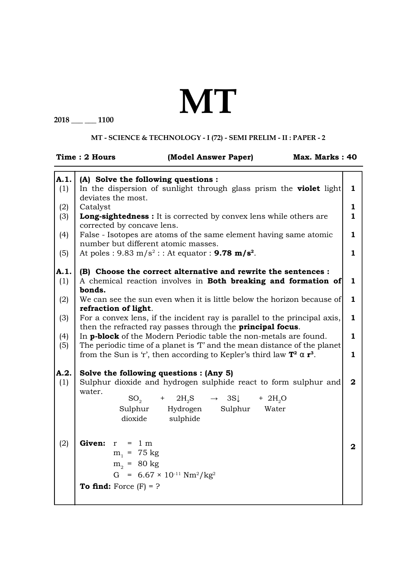## **MT**

**2018 \_\_\_ \_\_\_ 1100**

## **MT - SCIENCE & TECHNOLOGY - I (72) - SEMI PRELIM - II : PAPER - 2**

|             | <b>Time: 2 Hours</b><br>(Model Answer Paper)<br>Max. Marks: 40                                                                                       |                |
|-------------|------------------------------------------------------------------------------------------------------------------------------------------------------|----------------|
| A.1.        | (A) Solve the following questions :                                                                                                                  |                |
| (1)         | In the dispersion of sunlight through glass prism the <b>violet</b> light<br>deviates the most.                                                      | 1              |
| (2)         | Catalyst                                                                                                                                             | 1              |
| (3)         | <b>Long-sightedness :</b> It is corrected by convex lens while others are<br>corrected by concave lens.                                              | 1              |
| (4)         | False - Isotopes are atoms of the same element having same atomic<br>number but different atomic masses.                                             | 1              |
| (5)         | At poles : 9.83 m/s <sup>2</sup> : : At equator : <b>9.78 m/s<sup>2</sup></b> .                                                                      | 1              |
| A.1.<br>(1) | (B) Choose the correct alternative and rewrite the sentences :<br>A chemical reaction involves in <b>Both breaking and formation of</b>              | 1              |
| (2)         | bonds.<br>We can see the sun even when it is little below the horizon because of<br>refraction of light.                                             | 1              |
| (3)         | For a convex lens, if the incident ray is parallel to the principal axis,<br>then the refracted ray passes through the <b>principal focus</b> .      | 1              |
| (4)<br>(5)  | In <b>p-block</b> of the Modern Periodic table the non-metals are found.<br>The periodic time of a planet is 'T' and the mean distance of the planet | 1              |
|             | from the Sun is 'r', then according to Kepler's third law $T^2 \alpha r^3$ .                                                                         | $\mathbf{1}$   |
| A.2.<br>(1) | Solve the following questions : (Any 5)<br>Sulphur dioxide and hydrogen sulphide react to form sulphur and                                           | $\mathbf{2}$   |
|             | water.<br>$+$ 2H <sub>2</sub> S<br>$SO_{2}$<br>$\rightarrow$ 3S<br>$+$ 2H <sub>2</sub> O                                                             |                |
|             | Sulphur Hydrogen<br>Sulphur<br>Water<br>dioxide<br>sulphide                                                                                          |                |
| (2)         | Given: $r = 1 m$                                                                                                                                     | $\overline{2}$ |
|             | $m_1$ = 75 kg                                                                                                                                        |                |
|             | $m_2 = 80$ kg                                                                                                                                        |                |
|             | G = $6.67 \times 10^{-11}$ Nm <sup>2</sup> /kg <sup>2</sup>                                                                                          |                |
|             | To find: Force $(F) = ?$                                                                                                                             |                |
|             |                                                                                                                                                      |                |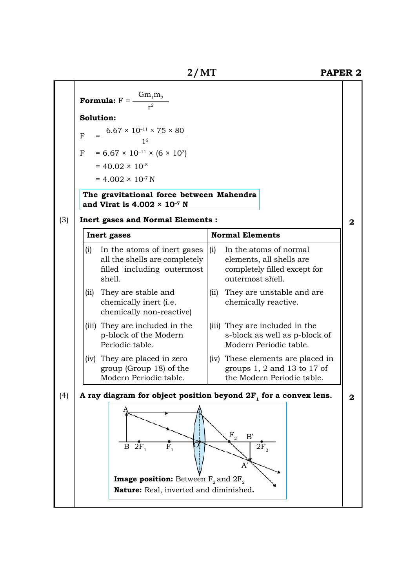|     | 2/MT                                                                                                        |                                                                                                               | <b>PAPER 2</b>   |
|-----|-------------------------------------------------------------------------------------------------------------|---------------------------------------------------------------------------------------------------------------|------------------|
|     | <b>Formula:</b> $F = \frac{Gm_1m_2}{r^2}$                                                                   |                                                                                                               |                  |
|     | Solution:                                                                                                   |                                                                                                               |                  |
|     |                                                                                                             |                                                                                                               |                  |
|     | $=\frac{6.67\times10^{-11}\times75\times80}{1^2}$<br>$\mathbf{F}$                                           |                                                                                                               |                  |
|     | $= 6.67 \times 10^{-11} \times (6 \times 10^3)$<br>$\mathbf{F}$                                             |                                                                                                               |                  |
|     | $= 40.02 \times 10^{-8}$                                                                                    |                                                                                                               |                  |
|     | $= 4.002 \times 10^{-7}$ N                                                                                  |                                                                                                               |                  |
|     | The gravitational force between Mahendra<br>and Virat is $4.002 \times 10^{-7}$ N                           |                                                                                                               |                  |
| (3) | <b>Inert gases and Normal Elements:</b>                                                                     |                                                                                                               | $\boldsymbol{2}$ |
|     | <b>Inert</b> gases                                                                                          | <b>Normal Elements</b>                                                                                        |                  |
|     | In the atoms of inert gases<br>(i)<br>all the shells are completely<br>filled including outermost<br>shell. | In the atoms of normal<br>(i)<br>elements, all shells are<br>completely filled except for<br>outermost shell. |                  |
|     | They are stable and<br>(ii)<br>chemically inert (i.e.<br>chemically non-reactive)                           | They are unstable and are<br>(ii)<br>chemically reactive.                                                     |                  |
|     | (iii) They are included in the<br>p-block of the Modern<br>Periodic table.                                  | (iii) They are included in the<br>s-block as well as p-block of<br>Modern Periodic table.                     |                  |
|     | (iv) They are placed in zero<br>group (Group 18) of the<br>Modern Periodic table.                           | (iv) These elements are placed in<br>groups $1, 2$ and $13$ to $17$ of<br>the Modern Periodic table.          |                  |
| (4) | A ray diagram for object position beyond $2F1$ for a convex lens.                                           |                                                                                                               | $\mathbf{2}$     |
|     | $B_2F_1$<br>$\overline{\mathrm{F}}_1$<br><b>Image position:</b> Between $F_2$ and $2F_2$                    | $F_{2}$<br>$\rm B'$<br>2F <sub>2</sub><br>A                                                                   |                  |
|     | Nature: Real, inverted and diminished.                                                                      |                                                                                                               |                  |
|     |                                                                                                             |                                                                                                               |                  |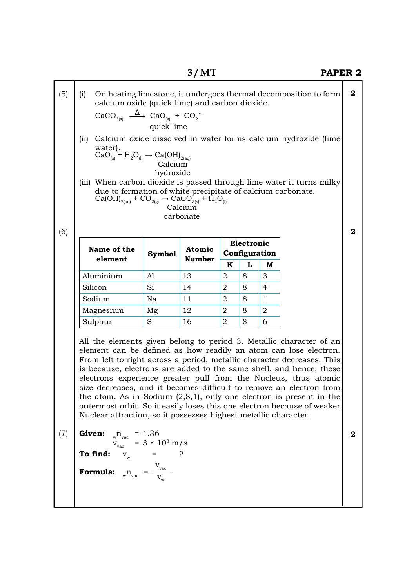|     |                                                                                                                                                                                                                                                                                                                                                                                                                                                                                                                                                                                                                                                            |                                | 3/MT                 |                             |   |                | <b>PAPER 2</b>                                                   |                  |
|-----|------------------------------------------------------------------------------------------------------------------------------------------------------------------------------------------------------------------------------------------------------------------------------------------------------------------------------------------------------------------------------------------------------------------------------------------------------------------------------------------------------------------------------------------------------------------------------------------------------------------------------------------------------------|--------------------------------|----------------------|-----------------------------|---|----------------|------------------------------------------------------------------|------------------|
| (5) | (i)<br>calcium oxide (quick lime) and carbon dioxide.                                                                                                                                                                                                                                                                                                                                                                                                                                                                                                                                                                                                      |                                |                      |                             |   |                | On heating limestone, it undergoes thermal decomposition to form | $\boldsymbol{2}$ |
|     | $\text{CaCO}_{_{3(s)}} \longrightarrow \text{CaO}_{_{(s)}} + \text{CO}_{_2}^{\ }$                                                                                                                                                                                                                                                                                                                                                                                                                                                                                                                                                                          | quick lime                     |                      |                             |   |                |                                                                  |                  |
|     | (ii)                                                                                                                                                                                                                                                                                                                                                                                                                                                                                                                                                                                                                                                       |                                |                      |                             |   |                |                                                                  |                  |
|     | Calcium oxide dissolved in water forms calcium hydroxide (lime<br>water).<br>CaO <sub>(s)</sub> + $H_2O_{(l)} \rightarrow$ Ca(OH) <sub>2(aq)</sub><br>Calcium<br>hydroxide                                                                                                                                                                                                                                                                                                                                                                                                                                                                                 |                                |                      |                             |   |                |                                                                  |                  |
| (6) | (iii) When carbon dioxide is passed through lime water it turns milky<br>due to formation of white precipitate of calcium carbonate.<br>$Ca(OH)_{2(aq)}$ + $CO_{2(g)}$ $\rightarrow$ $CaCO_{3(s)}^{\dagger}$ + $H_2O_{(l)}$                                                                                                                                                                                                                                                                                                                                                                                                                                |                                | Calcium<br>carbonate |                             |   |                |                                                                  | $\mathbf 2$      |
|     | Name of the                                                                                                                                                                                                                                                                                                                                                                                                                                                                                                                                                                                                                                                | <b>Atomic</b><br><b>Symbol</b> |                      | Electronic<br>Configuration |   |                |                                                                  |                  |
|     | element                                                                                                                                                                                                                                                                                                                                                                                                                                                                                                                                                                                                                                                    |                                | <b>Number</b>        | K                           | L | M              |                                                                  |                  |
|     | Aluminium                                                                                                                                                                                                                                                                                                                                                                                                                                                                                                                                                                                                                                                  | Al                             | 13                   | 2                           | 8 | 3              |                                                                  |                  |
|     | Silicon                                                                                                                                                                                                                                                                                                                                                                                                                                                                                                                                                                                                                                                    | Si                             | 14                   | $\overline{2}$              | 8 | 4              |                                                                  |                  |
|     | Sodium                                                                                                                                                                                                                                                                                                                                                                                                                                                                                                                                                                                                                                                     | Na                             | 11                   | 2                           | 8 | 1              |                                                                  |                  |
|     | Magnesium                                                                                                                                                                                                                                                                                                                                                                                                                                                                                                                                                                                                                                                  | Mg                             | 12                   | 2                           | 8 | $\overline{2}$ |                                                                  |                  |
|     | Sulphur                                                                                                                                                                                                                                                                                                                                                                                                                                                                                                                                                                                                                                                    | S                              | 16                   | $\overline{2}$              | 8 | 6              |                                                                  |                  |
|     | All the elements given belong to period 3. Metallic character of an<br>element can be defined as how readily an atom can lose electron.<br>From left to right across a period, metallic character decreases. This<br>is because, electrons are added to the same shell, and hence, these<br>electrons experience greater pull from the Nucleus, thus atomic<br>size decreases, and it becomes difficult to remove an electron from<br>the atom. As in Sodium $(2,8,1)$ , only one electron is present in the<br>outermost orbit. So it easily loses this one electron because of weaker<br>Nuclear attraction, so it possesses highest metallic character. |                                |                      |                             |   |                |                                                                  |                  |
| (7) | Given:<br>Given: ${}_{w}n_{vac}$ = 1.36<br>$v_{vac}$ = 3 × 10 <sup>8</sup> m/s<br>To find: $v_{w}$ = ?                                                                                                                                                                                                                                                                                                                                                                                                                                                                                                                                                     |                                |                      |                             |   |                |                                                                  | $\mathbf{2}$     |
|     | <b>Formula:</b> $\sum_{w} n_{vac} = \frac{V_{vac}}{V_{inc}}$                                                                                                                                                                                                                                                                                                                                                                                                                                                                                                                                                                                               |                                |                      |                             |   |                |                                                                  |                  |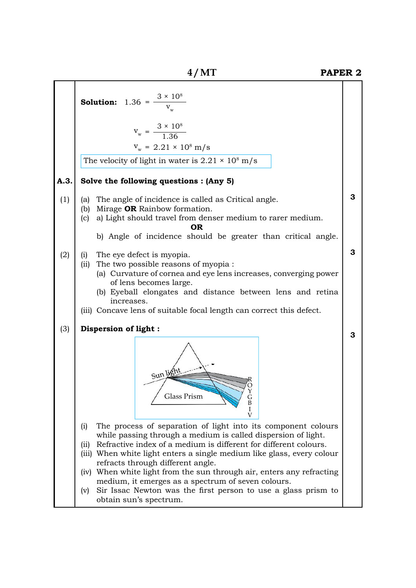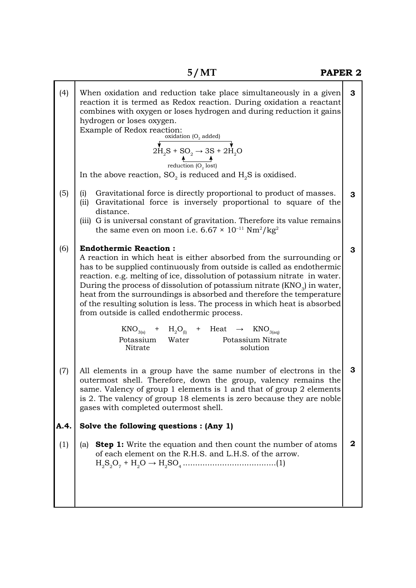| (4)         | When oxidation and reduction take place simultaneously in a given<br>reaction it is termed as Redox reaction. During oxidation a reactant<br>combines with oxygen or loses hydrogen and during reduction it gains<br>hydrogen or loses oxygen.<br>Example of Redox reaction:<br>oxidation ( $O_2$ added)<br>$2H_2S + SO_2 \rightarrow 3S + 2H_2O$<br>reduction $(O_2 \text{ lost})$<br>In the above reaction, $SO_2$ is reduced and $H_2S$ is oxidised.                                                                                                                                                                                                                                                             | 3              |  |
|-------------|---------------------------------------------------------------------------------------------------------------------------------------------------------------------------------------------------------------------------------------------------------------------------------------------------------------------------------------------------------------------------------------------------------------------------------------------------------------------------------------------------------------------------------------------------------------------------------------------------------------------------------------------------------------------------------------------------------------------|----------------|--|
| (5)         | Gravitational force is directly proportional to product of masses.<br>(i)<br>(ii) Gravitational force is inversely proportional to square of the<br>distance.<br>(iii) G is universal constant of gravitation. Therefore its value remains<br>the same even on moon i.e. $6.67 \times 10^{-11}$ Nm <sup>2</sup> /kg <sup>2</sup>                                                                                                                                                                                                                                                                                                                                                                                    | 3              |  |
| (6)         | <b>Endothermic Reaction:</b><br>A reaction in which heat is either absorbed from the surrounding or<br>has to be supplied continuously from outside is called as endothermic<br>reaction. e.g. melting of ice, dissolution of potassium nitrate in water.<br>During the process of dissolution of potassium nitrate (KNO <sub>3</sub> ) in water,<br>heat from the surroundings is absorbed and therefore the temperature<br>of the resulting solution is less. The process in which heat is absorbed<br>from outside is called endothermic process.<br>$\text{KNO}_{3(s)}$ + $\text{H}_{2}\text{O}_{(l)}$ + Heat $\rightarrow$ $\text{KNO}_{3(aq)}$<br>Potassium Water<br>Potassium Nitrate<br>Nitrate<br>solution | 3              |  |
| (7)         | All elements in a group have the same number of electrons in the<br>outermost shell. Therefore, down the group, valency remains the<br>same. Valency of group 1 elements is 1 and that of group 2 elements<br>is 2. The valency of group 18 elements is zero because they are noble<br>gases with completed outermost shell.                                                                                                                                                                                                                                                                                                                                                                                        | 3              |  |
| A.4.<br>(1) | Solve the following questions : (Any 1)<br><b>Step 1:</b> Write the equation and then count the number of atoms<br>(a)<br>of each element on the R.H.S. and L.H.S. of the arrow.                                                                                                                                                                                                                                                                                                                                                                                                                                                                                                                                    | $\overline{2}$ |  |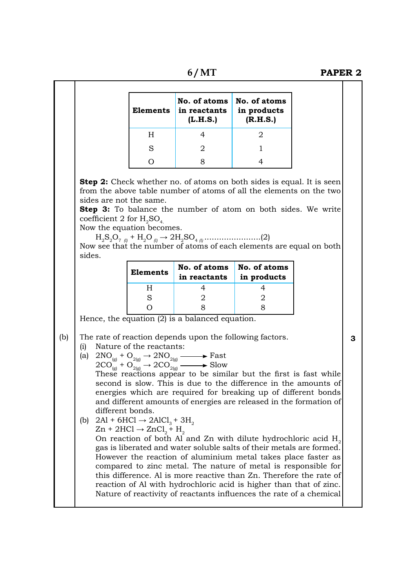**6 / MT PAPER 2**

|                                                                                                        | <b>Elements</b>                                                                                           | No. of atoms<br>in reactants<br>(L.H.S.)                                                                                                                                                                 | No. of atoms<br>in products<br>(R.H.S.)                                                                                                                                                                                                                                                                                                         |   |
|--------------------------------------------------------------------------------------------------------|-----------------------------------------------------------------------------------------------------------|----------------------------------------------------------------------------------------------------------------------------------------------------------------------------------------------------------|-------------------------------------------------------------------------------------------------------------------------------------------------------------------------------------------------------------------------------------------------------------------------------------------------------------------------------------------------|---|
|                                                                                                        | H                                                                                                         | 4                                                                                                                                                                                                        | 2                                                                                                                                                                                                                                                                                                                                               |   |
|                                                                                                        | S                                                                                                         | 2                                                                                                                                                                                                        | 1                                                                                                                                                                                                                                                                                                                                               |   |
|                                                                                                        | $\Omega$                                                                                                  | 8                                                                                                                                                                                                        | 4                                                                                                                                                                                                                                                                                                                                               |   |
| sides are not the same.<br>coefficient 2 for $H_2SO_4$<br>Now the equation becomes.                    |                                                                                                           |                                                                                                                                                                                                          | <b>Step 2:</b> Check whether no. of atoms on both sides is equal. It is seen<br>from the above table number of atoms of all the elements on the two<br><b>Step 3:</b> To balance the number of atom on both sides. We write<br>Now see that the number of atoms of each elements are equal on both                                              |   |
| sides.                                                                                                 | <b>Elements</b>                                                                                           | No. of atoms<br>in reactants                                                                                                                                                                             | No. of atoms<br>in products                                                                                                                                                                                                                                                                                                                     |   |
|                                                                                                        | H                                                                                                         | 4                                                                                                                                                                                                        | 4                                                                                                                                                                                                                                                                                                                                               |   |
|                                                                                                        | S                                                                                                         | 2                                                                                                                                                                                                        | 2                                                                                                                                                                                                                                                                                                                                               |   |
|                                                                                                        | Ω                                                                                                         | 8<br>Hence, the equation $(2)$ is a balanced equation.                                                                                                                                                   | 8                                                                                                                                                                                                                                                                                                                                               |   |
| (i)<br>different bonds.<br>(b)<br>gas is liberated and water soluble salts of their metals are formed. | Nature of the reactants:<br>$2Al + 6HCl \rightarrow 2AlCl3 + 3H2$<br>$Zn + 2HCl \rightarrow ZnCl_2 + H_2$ | The rate of reaction depends upon the following factors.<br>(a) $2NO_{(g)} + O_{2(g)} \rightarrow 2NO_{2(g)} \longrightarrow$ Fast<br>$2CO_{(g)} + O_{2(g)} \rightarrow 2CO_{2(g)} \longrightarrow$ Slow | These reactions appear to be similar but the first is fast while<br>second is slow. This is due to the difference in the amounts of<br>energies which are required for breaking up of different bonds<br>and different amounts of energies are released in the formation of<br>On reaction of both Al and Zn with dilute hydrochloric acid $H2$ | 3 |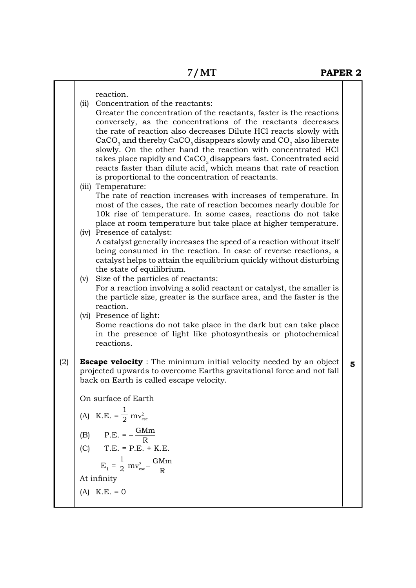|     | reaction.<br>Concentration of the reactants:<br>(ii)<br>Greater the concentration of the reactants, faster is the reactions<br>conversely, as the concentrations of the reactants decreases<br>the rate of reaction also decreases Dilute HCl reacts slowly with<br>$CaCO3$ and thereby CaCO <sub>3</sub> disappears slowly and CO <sub>2</sub> also liberate<br>slowly. On the other hand the reaction with concentrated HCl<br>takes place rapidly and CaCO <sub>3</sub> disappears fast. Concentrated acid<br>reacts faster than dilute acid, which means that rate of reaction<br>is proportional to the concentration of reactants. |   |  |  |  |
|-----|------------------------------------------------------------------------------------------------------------------------------------------------------------------------------------------------------------------------------------------------------------------------------------------------------------------------------------------------------------------------------------------------------------------------------------------------------------------------------------------------------------------------------------------------------------------------------------------------------------------------------------------|---|--|--|--|
|     | (iii) Temperature:<br>The rate of reaction increases with increases of temperature. In<br>most of the cases, the rate of reaction becomes nearly double for<br>10k rise of temperature. In some cases, reactions do not take<br>place at room temperature but take place at higher temperature.                                                                                                                                                                                                                                                                                                                                          |   |  |  |  |
|     | (iv) Presence of catalyst:<br>A catalyst generally increases the speed of a reaction without itself<br>being consumed in the reaction. In case of reverse reactions, a<br>catalyst helps to attain the equilibrium quickly without disturbing<br>the state of equilibrium.                                                                                                                                                                                                                                                                                                                                                               |   |  |  |  |
|     | Size of the particles of reactants:<br>(v)<br>For a reaction involving a solid reactant or catalyst, the smaller is<br>the particle size, greater is the surface area, and the faster is the<br>reaction.                                                                                                                                                                                                                                                                                                                                                                                                                                |   |  |  |  |
|     | (vi) Presence of light:<br>Some reactions do not take place in the dark but can take place<br>in the presence of light like photosynthesis or photochemical<br>reactions.                                                                                                                                                                                                                                                                                                                                                                                                                                                                |   |  |  |  |
| (2) | <b>Escape velocity</b> : The minimum initial velocity needed by an object<br>projected upwards to overcome Earths gravitational force and not fall<br>back on Earth is called escape velocity.                                                                                                                                                                                                                                                                                                                                                                                                                                           | 5 |  |  |  |
|     | On surface of Earth                                                                                                                                                                                                                                                                                                                                                                                                                                                                                                                                                                                                                      |   |  |  |  |
|     | (A) K.E. = $\frac{1}{2}mv_{\text{esc}}^2$                                                                                                                                                                                                                                                                                                                                                                                                                                                                                                                                                                                                |   |  |  |  |
|     | $P.E. = -\frac{GMm}{R}$<br>(B)                                                                                                                                                                                                                                                                                                                                                                                                                                                                                                                                                                                                           |   |  |  |  |
|     | (C) T.E. = P.E. + K.E.                                                                                                                                                                                                                                                                                                                                                                                                                                                                                                                                                                                                                   |   |  |  |  |
|     | $E_1 = \frac{1}{2} mv_{esc}^2 - \frac{GMm}{R}$                                                                                                                                                                                                                                                                                                                                                                                                                                                                                                                                                                                           |   |  |  |  |
|     | At infinity                                                                                                                                                                                                                                                                                                                                                                                                                                                                                                                                                                                                                              |   |  |  |  |
|     | $(A)$ K.E. = 0                                                                                                                                                                                                                                                                                                                                                                                                                                                                                                                                                                                                                           |   |  |  |  |